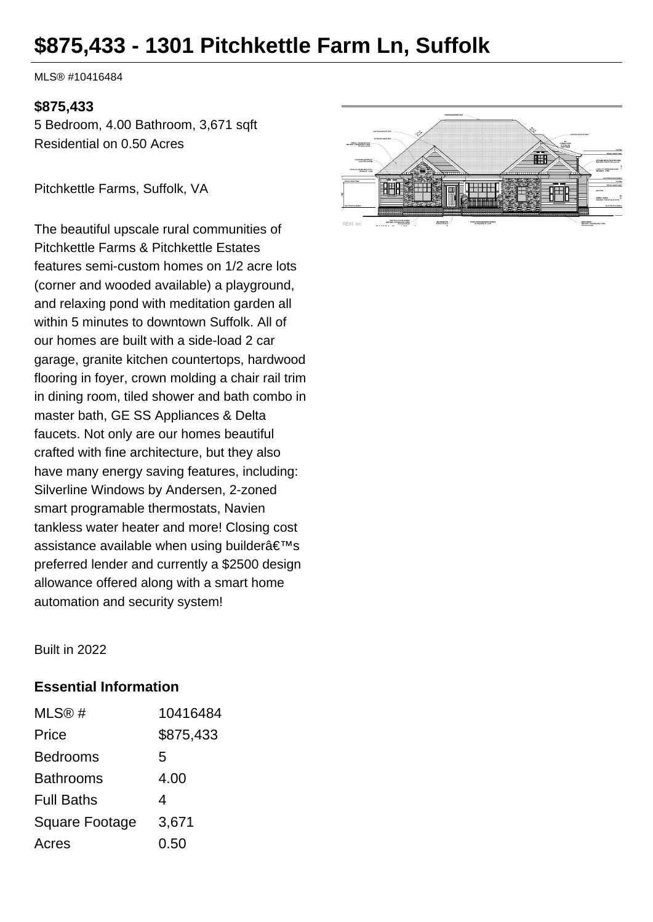# **\$875,433 - 1301 Pitchkettle Farm Ln, Suffolk**

MLS® #10416484

#### **\$875,433**

5 Bedroom, 4.00 Bathroom, 3,671 sqft Residential on 0.50 Acres

Pitchkettle Farms, Suffolk, VA

The beautiful upscale rural communities of Pitchkettle Farms & Pitchkettle Estates features semi-custom homes on 1/2 acre lots (corner and wooded available) a playground, and relaxing pond with meditation garden all within 5 minutes to downtown Suffolk. All of our homes are built with a side-load 2 car garage, granite kitchen countertops, hardwood flooring in foyer, crown molding a chair rail trim in dining room, tiled shower and bath combo in master bath, GE SS Appliances & Delta faucets. Not only are our homes beautiful crafted with fine architecture, but they also have many energy saving features, including: Silverline Windows by Andersen, 2-zoned smart programable thermostats, Navien tankless water heater and more! Closing cost assistance available when using builder's preferred lender and currently a \$2500 design allowance offered along with a smart home automation and security system!



Built in 2022

### **Essential Information**

| MLS@#             | 10416484  |
|-------------------|-----------|
| Price             | \$875,433 |
| <b>Bedrooms</b>   | 5         |
| <b>Bathrooms</b>  | 4.00      |
| <b>Full Baths</b> | 4         |
| Square Footage    | 3,671     |
| Acres             | 0.50      |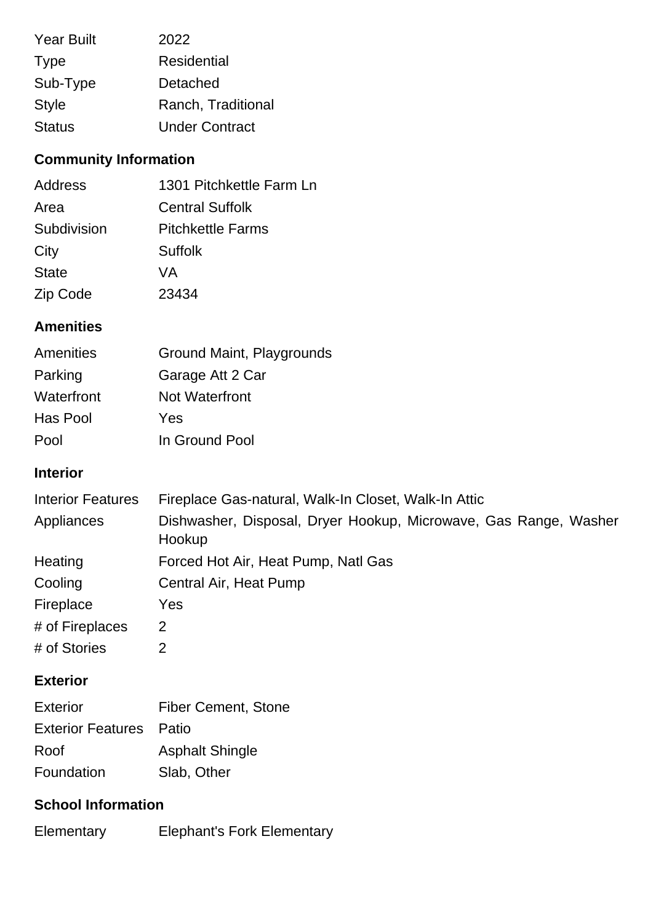| <b>Year Built</b> | 2022                  |
|-------------------|-----------------------|
| <b>Type</b>       | Residential           |
| Sub-Type          | Detached              |
| <b>Style</b>      | Ranch, Traditional    |
| <b>Status</b>     | <b>Under Contract</b> |

# **Community Information**

| Address      | 1301 Pitchkettle Farm Ln |
|--------------|--------------------------|
| Area         | <b>Central Suffolk</b>   |
| Subdivision  | <b>Pitchkettle Farms</b> |
| City         | <b>Suffolk</b>           |
| <b>State</b> | VA                       |
| Zip Code     | 23434                    |

## **Amenities**

| Amenities  | Ground Maint, Playgrounds |
|------------|---------------------------|
| Parking    | Garage Att 2 Car          |
| Waterfront | <b>Not Waterfront</b>     |
| Has Pool   | Yes                       |
| Pool       | In Ground Pool            |

## **Interior**

| <b>Interior Features</b> | Fireplace Gas-natural, Walk-In Closet, Walk-In Attic                       |
|--------------------------|----------------------------------------------------------------------------|
| Appliances               | Dishwasher, Disposal, Dryer Hookup, Microwave, Gas Range, Washer<br>Hookup |
| Heating                  | Forced Hot Air, Heat Pump, Natl Gas                                        |
| Cooling                  | Central Air, Heat Pump                                                     |
| Fireplace                | Yes                                                                        |
| # of Fireplaces          | 2                                                                          |
| # of Stories             |                                                                            |

# **Exterior**

| <b>Exterior</b>                | <b>Fiber Cement, Stone</b> |
|--------------------------------|----------------------------|
| <b>Exterior Features</b> Patio |                            |
| Roof                           | <b>Asphalt Shingle</b>     |
| Foundation                     | Slab, Other                |

# **School Information**